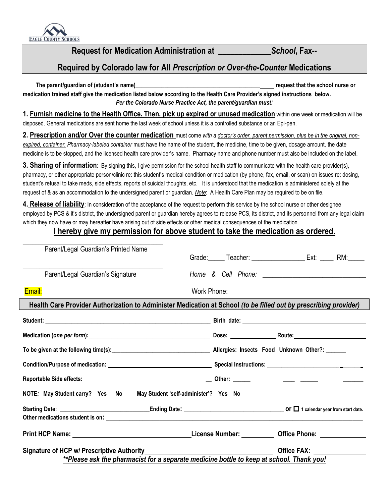

**Request for Medication Administration at \_\_\_\_\_\_\_\_\_\_\_\_\_***School***, Fax--**

## **Required by Colorado law for All** *Prescription or Over-the-Counter* **Medications**

**The parent/guardian of (student's name) Letter and the school nurse or all the school nurse or all the school nurse or**  $\overline{a}$ **medication trained staff give the medication listed below according to the Health Care Provider's signed instructions below.**  *Per the Colorado Nurse Practice Act, the parent/guardian must:*

**1. Furnish medicine to the Health Office. Then, pick up expired or unused medication** within one week or medication will be disposed. General medications are sent home the last week of school unless it is a controlled substance or an Epi-pen.

**2. Prescription and/or Over the counter medication** must come *with a doctor's order, parent permission, plus be in the original, nonexpired, container. Pharmacy-labeled container* must have the name of the student, the medicine, time to be given, dosage amount, the date medicine is to be stopped, and the licensed health care provider's name. Pharmacy name and phone number must also be included on the label.

**3. Sharing of information**: By signing this, I give permission for the school health staff to communicate with the health care provider(s), pharmacy, or other appropriate person/clinic re: this student's medical condition or medication (by phone, fax, email, or scan) on issues re: dosing, student's refusal to take meds, side effects, reports of suicidal thoughts, etc. It is understood that the medication is administered solely at the request of & as an accommodation to the undersigned parent or guardian. *Note*: A Health Care Plan may be required to be on file.

**4. Release of liability**: In consideration of the acceptance of the request to perform this service by the school nurse or other designee employed by PCS & it's district, the undersigned parent or guardian hereby agrees to release PCS, its district, and its personnel from any legal claim which they now have or may hereafter have arising out of side effects or other medical consequences of the medication.

## **I hereby give my permission for above student to take the medication as ordered.**

| Parent/Legal Guardian's Printed Name                                  |                                                                                                                  |
|-----------------------------------------------------------------------|------------------------------------------------------------------------------------------------------------------|
|                                                                       |                                                                                                                  |
| Parent/Legal Guardian's Signature                                     |                                                                                                                  |
|                                                                       |                                                                                                                  |
|                                                                       | Health Care Provider Authorization to Administer Medication at School (to be filled out by prescribing provider) |
|                                                                       |                                                                                                                  |
|                                                                       |                                                                                                                  |
|                                                                       |                                                                                                                  |
|                                                                       |                                                                                                                  |
|                                                                       |                                                                                                                  |
| NOTE: May Student carry? Yes No May Student 'self-administer'? Yes No |                                                                                                                  |
|                                                                       | Starting Date: $\frac{1}{2}$ or $\Box$ 1 calendar year from start date.                                          |
|                                                                       |                                                                                                                  |
|                                                                       | Print HCP Name: 1990 Manner 2008 (2009) License Number: 2009 Manner 2009 Office Phone: 2009 Manner 2009 Manner   |
| Signature of HCP w/ Prescriptive Authority____________                | <b>Office FAX:</b>                                                                                               |
|                                                                       | **Please ask the pharmacist for a separate medicine bottle to keep at school. Thank you!                         |